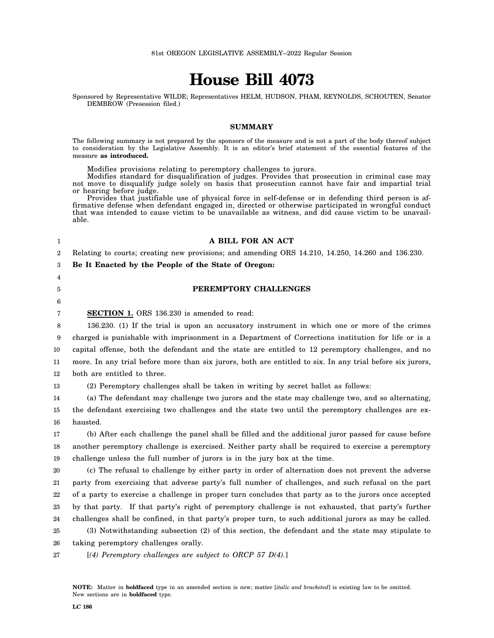# **House Bill 4073**

Sponsored by Representative WILDE; Representatives HELM, HUDSON, PHAM, REYNOLDS, SCHOUTEN, Senator DEMBROW (Presession filed.)

#### **SUMMARY**

The following summary is not prepared by the sponsors of the measure and is not a part of the body thereof subject to consideration by the Legislative Assembly. It is an editor's brief statement of the essential features of the measure **as introduced.**

Modifies provisions relating to peremptory challenges to jurors.

Modifies standard for disqualification of judges. Provides that prosecution in criminal case may not move to disqualify judge solely on basis that prosecution cannot have fair and impartial trial or hearing before judge.

Provides that justifiable use of physical force in self-defense or in defending third person is affirmative defense when defendant engaged in, directed or otherwise participated in wrongful conduct that was intended to cause victim to be unavailable as witness, and did cause victim to be unavailable.

#### **A BILL FOR AN ACT**

2 Relating to courts; creating new provisions; and amending ORS 14.210, 14.250, 14.260 and 136.230.

3 **Be It Enacted by the People of the State of Oregon:**

#### **PEREMPTORY CHALLENGES**

5 6 7

1

4

**SECTION 1.** ORS 136.230 is amended to read:

8 9 10 11 12 136.230. (1) If the trial is upon an accusatory instrument in which one or more of the crimes charged is punishable with imprisonment in a Department of Corrections institution for life or is a capital offense, both the defendant and the state are entitled to 12 peremptory challenges, and no more. In any trial before more than six jurors, both are entitled to six. In any trial before six jurors, both are entitled to three.

13 (2) Peremptory challenges shall be taken in writing by secret ballot as follows:

14 15 16 (a) The defendant may challenge two jurors and the state may challenge two, and so alternating, the defendant exercising two challenges and the state two until the peremptory challenges are exhausted.

17 18 19 (b) After each challenge the panel shall be filled and the additional juror passed for cause before another peremptory challenge is exercised. Neither party shall be required to exercise a peremptory challenge unless the full number of jurors is in the jury box at the time.

20 21 22 23 24 25 (c) The refusal to challenge by either party in order of alternation does not prevent the adverse party from exercising that adverse party's full number of challenges, and such refusal on the part of a party to exercise a challenge in proper turn concludes that party as to the jurors once accepted by that party. If that party's right of peremptory challenge is not exhausted, that party's further challenges shall be confined, in that party's proper turn, to such additional jurors as may be called. (3) Notwithstanding subsection (2) of this section, the defendant and the state may stipulate to

26 taking peremptory challenges orally.

27 [*(4) Peremptory challenges are subject to ORCP 57 D(4).*]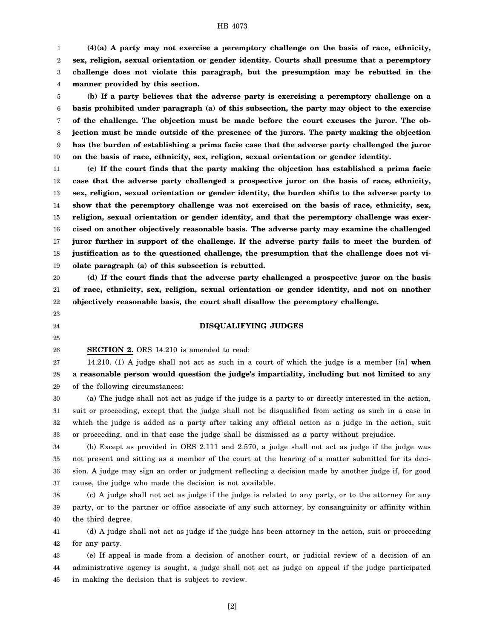#### HB 4073

1 2 3 4 **(4)(a) A party may not exercise a peremptory challenge on the basis of race, ethnicity, sex, religion, sexual orientation or gender identity. Courts shall presume that a peremptory challenge does not violate this paragraph, but the presumption may be rebutted in the manner provided by this section.**

5 6 7 8 9 10 **(b) If a party believes that the adverse party is exercising a peremptory challenge on a basis prohibited under paragraph (a) of this subsection, the party may object to the exercise of the challenge. The objection must be made before the court excuses the juror. The objection must be made outside of the presence of the jurors. The party making the objection has the burden of establishing a prima facie case that the adverse party challenged the juror on the basis of race, ethnicity, sex, religion, sexual orientation or gender identity.**

11 12 13 14 15 16 17 18 19 **(c) If the court finds that the party making the objection has established a prima facie case that the adverse party challenged a prospective juror on the basis of race, ethnicity, sex, religion, sexual orientation or gender identity, the burden shifts to the adverse party to show that the peremptory challenge was not exercised on the basis of race, ethnicity, sex, religion, sexual orientation or gender identity, and that the peremptory challenge was exercised on another objectively reasonable basis. The adverse party may examine the challenged juror further in support of the challenge. If the adverse party fails to meet the burden of justification as to the questioned challenge, the presumption that the challenge does not violate paragraph (a) of this subsection is rebutted.**

20 21 22 **(d) If the court finds that the adverse party challenged a prospective juror on the basis of race, ethnicity, sex, religion, sexual orientation or gender identity, and not on another objectively reasonable basis, the court shall disallow the peremptory challenge.**

## **DISQUALIFYING JUDGES**

24 25

23

26

**SECTION 2.** ORS 14.210 is amended to read:

27 28 29 14.210. (1) A judge shall not act as such in a court of which the judge is a member [*in*] **when a reasonable person would question the judge's impartiality, including but not limited to** any of the following circumstances:

30 31 32 33 (a) The judge shall not act as judge if the judge is a party to or directly interested in the action, suit or proceeding, except that the judge shall not be disqualified from acting as such in a case in which the judge is added as a party after taking any official action as a judge in the action, suit or proceeding, and in that case the judge shall be dismissed as a party without prejudice.

34 35 36 37 (b) Except as provided in ORS 2.111 and 2.570, a judge shall not act as judge if the judge was not present and sitting as a member of the court at the hearing of a matter submitted for its decision. A judge may sign an order or judgment reflecting a decision made by another judge if, for good cause, the judge who made the decision is not available.

38 39 40 (c) A judge shall not act as judge if the judge is related to any party, or to the attorney for any party, or to the partner or office associate of any such attorney, by consanguinity or affinity within the third degree.

41 42 (d) A judge shall not act as judge if the judge has been attorney in the action, suit or proceeding for any party.

43 44 45 (e) If appeal is made from a decision of another court, or judicial review of a decision of an administrative agency is sought, a judge shall not act as judge on appeal if the judge participated in making the decision that is subject to review.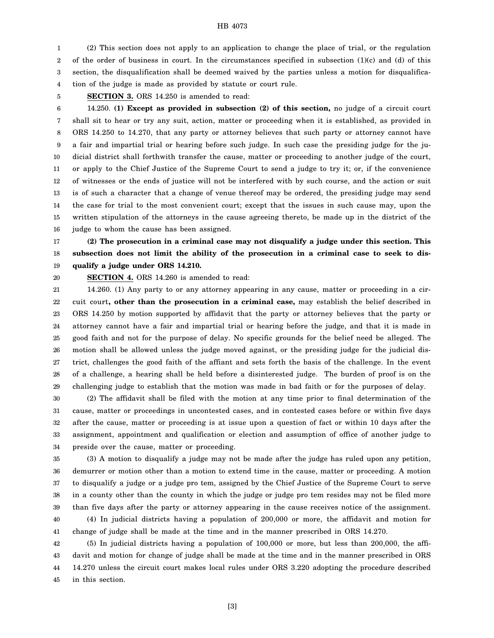#### HB 4073

1 2 3 4 (2) This section does not apply to an application to change the place of trial, or the regulation of the order of business in court. In the circumstances specified in subsection  $(1)(c)$  and  $(d)$  of this section, the disqualification shall be deemed waived by the parties unless a motion for disqualification of the judge is made as provided by statute or court rule.

5

**SECTION 3.** ORS 14.250 is amended to read:

6 7 8 9 10 11 12 13 14 15 16 14.250. **(1) Except as provided in subsection (2) of this section,** no judge of a circuit court shall sit to hear or try any suit, action, matter or proceeding when it is established, as provided in ORS 14.250 to 14.270, that any party or attorney believes that such party or attorney cannot have a fair and impartial trial or hearing before such judge. In such case the presiding judge for the judicial district shall forthwith transfer the cause, matter or proceeding to another judge of the court, or apply to the Chief Justice of the Supreme Court to send a judge to try it; or, if the convenience of witnesses or the ends of justice will not be interfered with by such course, and the action or suit is of such a character that a change of venue thereof may be ordered, the presiding judge may send the case for trial to the most convenient court; except that the issues in such cause may, upon the written stipulation of the attorneys in the cause agreeing thereto, be made up in the district of the judge to whom the cause has been assigned.

17 18 19 **(2) The prosecution in a criminal case may not disqualify a judge under this section. This subsection does not limit the ability of the prosecution in a criminal case to seek to disqualify a judge under ORS 14.210.**

20

**SECTION 4.** ORS 14.260 is amended to read:

21 22 23 24 25 26 27 28 29 14.260. (1) Any party to or any attorney appearing in any cause, matter or proceeding in a circuit court**, other than the prosecution in a criminal case,** may establish the belief described in ORS 14.250 by motion supported by affidavit that the party or attorney believes that the party or attorney cannot have a fair and impartial trial or hearing before the judge, and that it is made in good faith and not for the purpose of delay. No specific grounds for the belief need be alleged. The motion shall be allowed unless the judge moved against, or the presiding judge for the judicial district, challenges the good faith of the affiant and sets forth the basis of the challenge. In the event of a challenge, a hearing shall be held before a disinterested judge. The burden of proof is on the challenging judge to establish that the motion was made in bad faith or for the purposes of delay.

30 31 32 33 34 (2) The affidavit shall be filed with the motion at any time prior to final determination of the cause, matter or proceedings in uncontested cases, and in contested cases before or within five days after the cause, matter or proceeding is at issue upon a question of fact or within 10 days after the assignment, appointment and qualification or election and assumption of office of another judge to preside over the cause, matter or proceeding.

35 36 37 38 39 40 (3) A motion to disqualify a judge may not be made after the judge has ruled upon any petition, demurrer or motion other than a motion to extend time in the cause, matter or proceeding. A motion to disqualify a judge or a judge pro tem, assigned by the Chief Justice of the Supreme Court to serve in a county other than the county in which the judge or judge pro tem resides may not be filed more than five days after the party or attorney appearing in the cause receives notice of the assignment. (4) In judicial districts having a population of 200,000 or more, the affidavit and motion for

41 change of judge shall be made at the time and in the manner prescribed in ORS 14.270.

42 43 44 45 (5) In judicial districts having a population of 100,000 or more, but less than 200,000, the affidavit and motion for change of judge shall be made at the time and in the manner prescribed in ORS 14.270 unless the circuit court makes local rules under ORS 3.220 adopting the procedure described in this section.